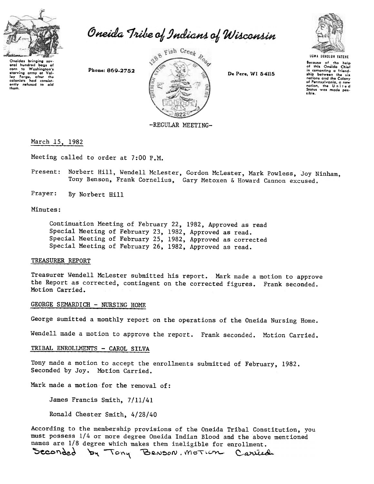

Oneida Tribe of Indians of Wisconsin

aral hundred bags of carn to Washington's Phone: 869-2752 or the community of the colonists and the colonists had consistently refused to aid them.



De Pere, WI 54115



Bocause of the help<br>of this Oneida Chief in camenting a friendship between the six nations and the Colony nations and the working<br>of Pennsylvania, a new<br>nation, the United<br>States was made possible.

-REGULAR MEETING-

### March 15, 1982

Meeting called to order at 7:00 P.M.

- Present: Norbert Hill, Wendell McLester, Gordon McLester, Mark Powless, Joy Ninham, Tony Benson, Frank Cornelius, Gary Metoxen & Howard Cannon excused.
- Prayer: By Norbert Hill

### Minutes:

Continuation Meeting of February 22, 1982, Approved as read Special Meeting of February 23, 1982, Approved as read. Special Meeting of February 25, 1982, Approved as corrected Special Meeting of February 26, 1982, Approved as read.

### TREASURER REPORT

Treasurer Wendell McLester submitted his report. Mark made a motion to approve the Report as corrected, contingent on the corrected figures. Frank seconded. Motion Carried.

## GEORGE SEMARDICH - NURSING HOME

George sumitted a monthly report on the operations of the Oneida Nursing Home.

Wendell made a motion to approve the report. Frank seconded. Motion Carried.

# TRIBAL ENROLLMENTS - CAROL SILVA

Tony made a motion to accept the enrollments submitted of February, 1982. Seconded by Joy. Motion Carried.

Mark made a motion for the removal of:

James Francis Smith, 7/11/41

Ronald Chester Smith, 4/28/40

According to the membership provisions of the Oneida Tribal Constitution, you must possess 1/4 or more degree Oneida Indian Blood and the above mentioned names are 1/8 degree which makes them ineligible for enrollment.

by Tony Benson. Motion Carriedi